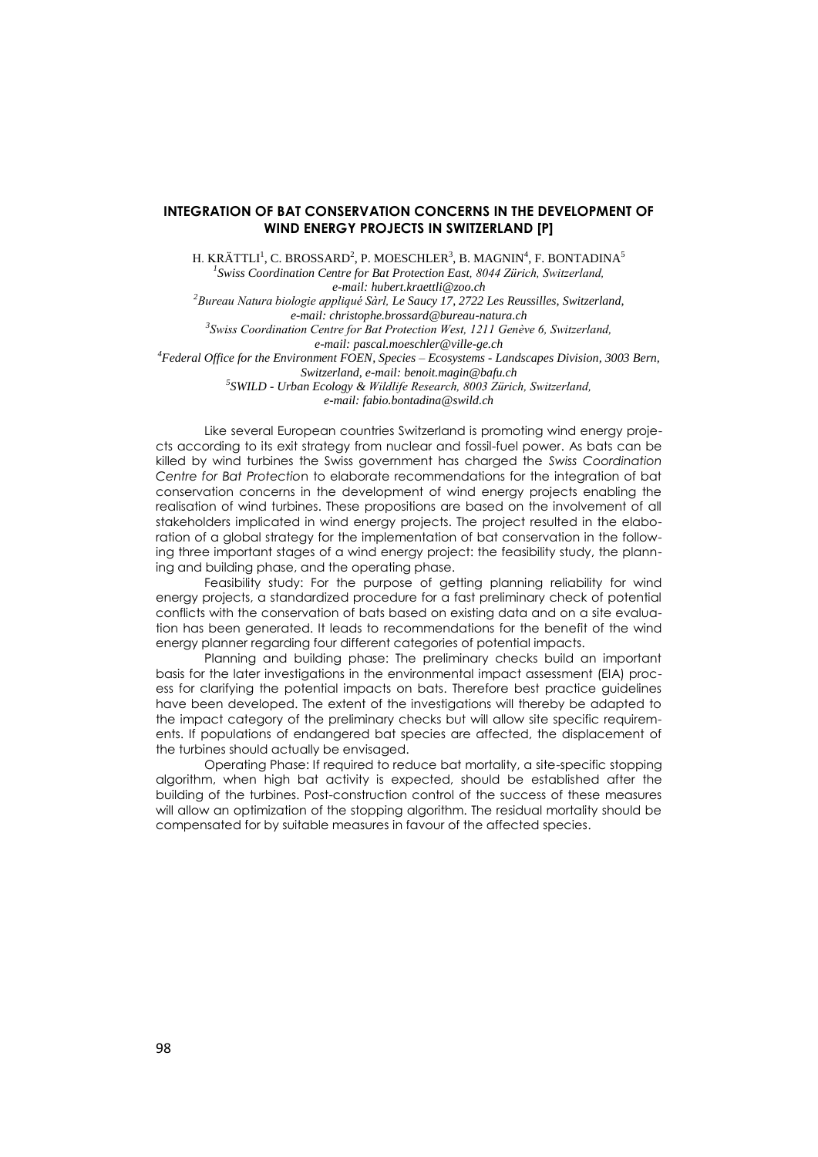## **INTEGRATION OF BAT CONSERVATION CONCERNS IN THE DEVELOPMENT OF WIND ENERGY PROJECTS IN SWITZERLAND [P]**

H. KRÄTTLI $^1$ , C. BROSSARD $^2$ , P. MOESCHLER $^3$ , B. MAGNIN $^4$ , F. BONTADINA $^5$ 

*1 Swiss Coordination Centre for Bat Protection East, 8044 Zürich, Switzerland, e-mail: [hubert.kraettli@zoo.ch](mailto:hubert.kraettli@zoo.ch)*

*<sup>2</sup>Bureau Natura biologie appliqué Sàrl, Le Saucy 17, 2722 Les Reussilles, Switzerland, e-mail: [christophe.brossard@bureau-natura.ch](mailto:christophe.brossard@bureau-natura.ch) 3 Swiss Coordination Centre for Bat Protection West, 1211 Genève 6, Switzerland, e-mail[: pascal.moeschler@ville-ge.ch](mailto:pascal.moeschler@ville-ge.ch)*

*<sup>4</sup>Federal Office for the Environment FOEN, Species – Ecosystems - Landscapes Division, 3003 Bern, Switzerland, e-mail: [benoit.magin@bafu.ch](mailto:benoit.magin@bafu.ch)*

*5 SWILD - Urban Ecology & Wildlife Research, 8003 Zürich, Switzerland,*

*e-mail: [fabio.bontadina@swild.ch](mailto:fabio.bontadina@swild.ch)*

Like several European countries Switzerland is promoting wind energy projects according to its exit strategy from nuclear and fossil-fuel power. As bats can be killed by wind turbines the Swiss government has charged the *Swiss Coordination Centre for Bat Protectio*n to elaborate recommendations for the integration of bat conservation concerns in the development of wind energy projects enabling the realisation of wind turbines. These propositions are based on the involvement of all stakeholders implicated in wind energy projects. The project resulted in the elaboration of a global strategy for the implementation of bat conservation in the following three important stages of a wind energy project: the feasibility study, the planning and building phase, and the operating phase.

Feasibility study: For the purpose of getting planning reliability for wind energy projects, a standardized procedure for a fast preliminary check of potential conflicts with the conservation of bats based on existing data and on a site evaluation has been generated. It leads to recommendations for the benefit of the wind energy planner regarding four different categories of potential impacts.

Planning and building phase: The preliminary checks build an important basis for the later investigations in the environmental impact assessment (EIA) process for clarifying the potential impacts on bats. Therefore best practice guidelines have been developed. The extent of the investigations will thereby be adapted to the impact category of the preliminary checks but will allow site specific requirements. If populations of endangered bat species are affected, the displacement of the turbines should actually be envisaged.

Operating Phase: If required to reduce bat mortality, a site-specific stopping algorithm, when high bat activity is expected, should be established after the building of the turbines. Post-construction control of the success of these measures will allow an optimization of the stopping algorithm. The residual mortality should be compensated for by suitable measures in favour of the affected species.